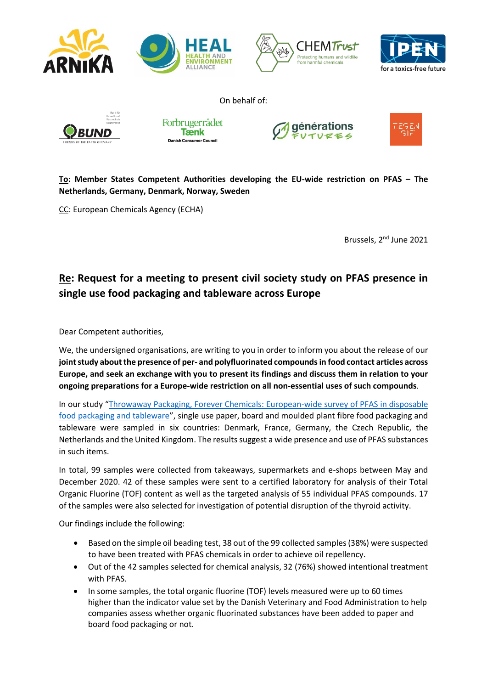

**To: Member States Competent Authorities developing the EU-wide restriction on PFAS – The Netherlands, Germany, Denmark, Norway, Sweden**

CC: European Chemicals Agency (ECHA)

Brussels, 2<sup>nd</sup> June 2021

## **Re: Request for a meeting to present civil society study on PFAS presence in single use food packaging and tableware across Europe**

Dear Competent authorities,

We, the undersigned organisations, are writing to you in order to inform you about the release of our **joint study about the presence of per- and polyfluorinated compounds in food contact articles across Europe, and seek an exchange with you to present its findings and discuss them in relation to your ongoing preparations for a Europe-wide restriction on all non-essential uses of such compounds**.

In our study "[Throwaway Packaging, Forever Chemicals: European-wide survey of PFAS in disposable](https://english.arnika.org/publications/download/631_f4710a0c788a902efe211bc9c10a3059)  [food packaging and tableware](https://english.arnika.org/publications/download/631_f4710a0c788a902efe211bc9c10a3059)", single use paper, board and moulded plant fibre food packaging and tableware were sampled in six countries: Denmark, France, Germany, the Czech Republic, the Netherlands and the United Kingdom. The results suggest a wide presence and use of PFAS substances in such items.

In total, 99 samples were collected from takeaways, supermarkets and e-shops between May and December 2020. 42 of these samples were sent to a certified laboratory for analysis of their Total Organic Fluorine (TOF) content as well as the targeted analysis of 55 individual PFAS compounds. 17 of the samples were also selected for investigation of potential disruption of the thyroid activity.

## Our findings include the following:

- Based on the simple oil beading test, 38 out of the 99 collected samples (38%) were suspected to have been treated with PFAS chemicals in order to achieve oil repellency.
- Out of the 42 samples selected for chemical analysis, 32 (76%) showed intentional treatment with PFAS.
- In some samples, the total organic fluorine (TOF) levels measured were up to 60 times higher than the indicator value set by the Danish Veterinary and Food Administration to help companies assess whether organic fluorinated substances have been added to paper and board food packaging or not.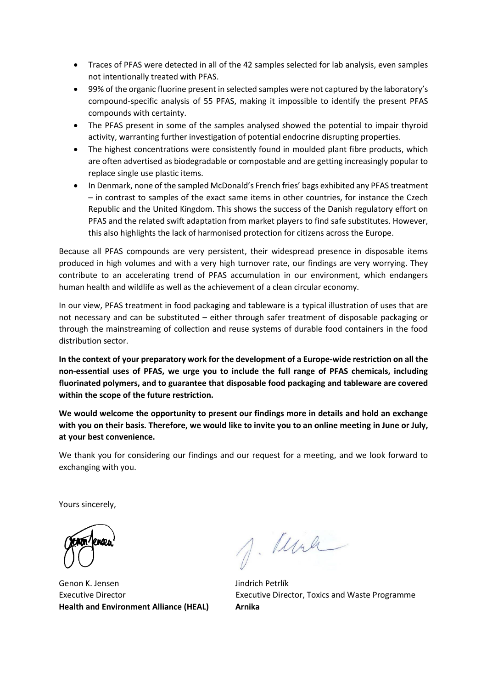- Traces of PFAS were detected in all of the 42 samples selected for lab analysis, even samples not intentionally treated with PFAS.
- 99% of the organic fluorine present in selected samples were not captured by the laboratory's compound-specific analysis of 55 PFAS, making it impossible to identify the present PFAS compounds with certainty.
- The PFAS present in some of the samples analysed showed the potential to impair thyroid activity, warranting further investigation of potential endocrine disrupting properties.
- The highest concentrations were consistently found in moulded plant fibre products, which are often advertised as biodegradable or compostable and are getting increasingly popular to replace single use plastic items.
- In Denmark, none of the sampled McDonald's French fries' bags exhibited any PFAS treatment – in contrast to samples of the exact same items in other countries, for instance the Czech Republic and the United Kingdom. This shows the success of the Danish regulatory effort on PFAS and the related swift adaptation from market players to find safe substitutes. However, this also highlights the lack of harmonised protection for citizens across the Europe.

Because all PFAS compounds are very persistent, their widespread presence in disposable items produced in high volumes and with a very high turnover rate, our findings are very worrying. They contribute to an accelerating trend of PFAS accumulation in our environment, which endangers human health and wildlife as well as the achievement of a clean circular economy.

In our view, PFAS treatment in food packaging and tableware is a typical illustration of uses that are not necessary and can be substituted – either through safer treatment of disposable packaging or through the mainstreaming of collection and reuse systems of durable food containers in the food distribution sector.

**In the context of your preparatory work for the development of a Europe-wide restriction on all the non-essential uses of PFAS, we urge you to include the full range of PFAS chemicals, including fluorinated polymers, and to guarantee that disposable food packaging and tableware are covered within the scope of the future restriction.** 

**We would welcome the opportunity to present our findings more in details and hold an exchange with you on their basis. Therefore, we would like to invite you to an online meeting in June or July, at your best convenience.** 

We thank you for considering our findings and our request for a meeting, and we look forward to exchanging with you.

Yours sincerely,

Genon K. Jensen **Genon K. Jensen Health and Environment Alliance (HEAL) Arnika**

J. Mule

Executive Director Executive Director, Toxics and Waste Programme